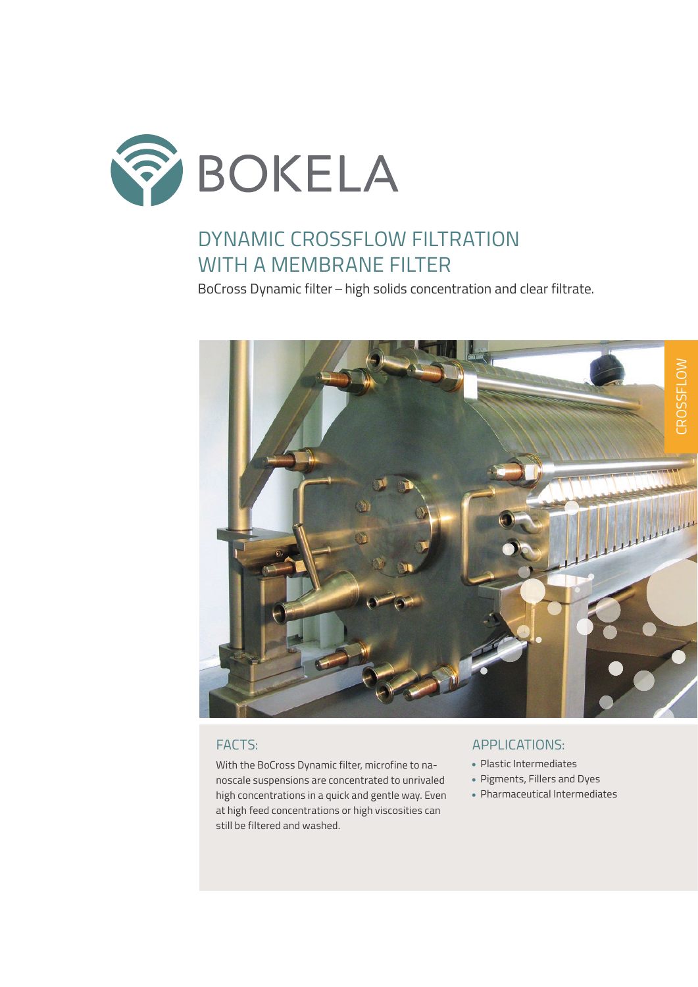

# DYNAMIC CROSSFLOW FILTRATION WITH A MEMBRANE FILTER

BoCross Dynamic filter – high solids concentration and clear filtrate.



With the BoCross Dynamic filter, microfine to nanoscale suspensions are concentrated to unrivaled high concentrations in a quick and gentle way. Even at high feed concentrations or high viscosities can still be filtered and washed.

### FACTS: APPLICATIONS:

- Plastic Intermediates
- Pigments, Fillers and Dyes
- Pharmaceutical Intermediates